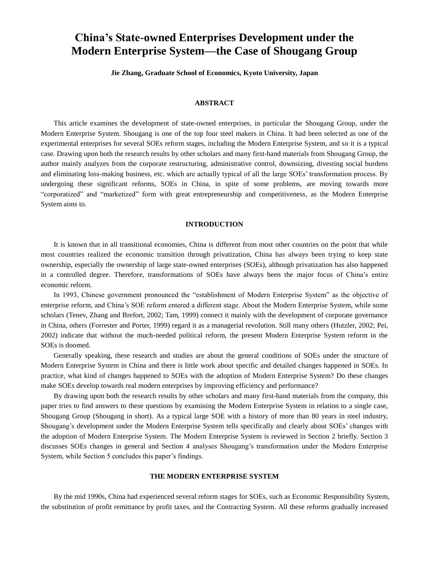# **China's State-owned Enterprises Development under the Modern Enterprise System—the Case of Shougang Group**

**Jie Zhang, Graduate School of Economics, Kyoto University, Japan**

#### **ABSTRACT**

This article examines the development of state-owned enterprises, in particular the Shougang Group, under the Modern Enterprise System. Shougang is one of the top four steel makers in China. It had been selected as one of the experimental enterprises for several SOEs reform stages, including the Modern Enterprise System, and so it is a typical case. Drawing upon both the research results by other scholars and many first-hand materials from Shougang Group, the author mainly analyzes from the corporate restructuring, administrative control, downsizing, divesting social burdens and eliminating loss-making business, etc. which are actually typical of all the large SOEs' transformation process. By undergoing these significant reforms, SOEs in China, in spite of some problems, are moving towards more "corporatized" and "marketized" form with great entrepreneurship and competitiveness, as the Modern Enterprise System aims to.

#### **INTRODUCTION**

It is known that in all transitional economies, China is different from most other countries on the point that while most countries realized the economic transition through privatization, China has always been trying to keep state ownership, especially the ownership of large state-owned enterprises (SOEs), although privatization has also happened in a controlled degree. Therefore, transformations of SOEs have always been the major focus of China's entire economic reform.

In 1993, Chinese government pronounced the "establishment of Modern Enterprise System" as the objective of enterprise reform, and China's SOE reform entered a different stage. About the Modern Enterprise System, while some scholars (Tenev, Zhang and Brefort, 2002; Tam, 1999) connect it mainly with the development of corporate governance in China, others (Forrester and Porter, 1999) regard it as a managerial revolution. Still many others (Hutzler, 2002; Pei, 2002) indicate that without the much-needed political reform, the present Modern Enterprise System reform in the SOEs is doomed.

Generally speaking, these research and studies are about the general conditions of SOEs under the structure of Modern Enterprise System in China and there is little work about specific and detailed changes happened in SOEs. In practice, what kind of changes happened to SOEs with the adoption of Modern Enterprise System? Do these changes make SOEs develop towards real modern enterprises by improving efficiency and performance?

By drawing upon both the research results by other scholars and many first-hand materials from the company, this paper tries to find answers to these questions by examining the Modern Enterprise System in relation to a single case, Shougang Group (Shougang in short). As a typical large SOE with a history of more than 80 years in steel industry, Shougang's development under the Modern Enterprise System tells specifically and clearly about SOEs' changes with the adoption of Modern Enterprise System. The Modern Enterprise System is reviewed in Section 2 briefly. Section 3 discusses SOEs changes in general and Section 4 analyses Shougang's transformation under the Modern Enterprise System, while Section 5 concludes this paper's findings.

### **THE MODERN ENTERPRISE SYSTEM**

By the mid 1990s, China had experienced several reform stages for SOEs, such as Economic Responsibility System, the substitution of profit remittance by profit taxes, and the Contracting System. All these reforms gradually increased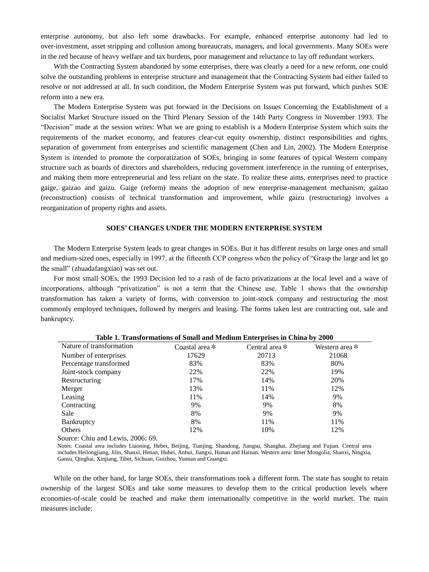enterprise autonomy, but also left some drawbacks. For example, enhanced enterprise autonomy had led to over-investment, asset stripping and collusion among bureaucrats, managers, and local governments. Many SOEs were in the red because of heavy welfare and tax burdens, poor management and reluctance to lay off redundant workers.

With the Contracting System abandoned by some enterprises, there was clearly a need for a new reform, one could solve the outstanding problems in enterprise structure and management that the Contracting System had either failed to resolve or not addressed at all. In such condition, the Modern Enterprise System was put forward, which pushes SOE reform into a new era.

The Modern Enterprise System was put forward in the Decisions on Issues Concerning the Establishment of a Socialist Market Structure issued on the Third Plenary Session of the 14th Party Congress in November 1993. The "Decision" made at the session writes: What we are going to establish is a Modern Enterprise System which suits the requirements of the market economy, and features clear-cut equity ownership, distinct responsibilities and rights, separation of government from enterprises and scientific management (Chen and Lin, 2002). The Modern Enterprise System is intended to promote the corporatization of SOEs, bringing in some features of typical Western company structure such as boards of directors and shareholders, reducing government interference in the running of enterprises, and making them more entrepreneurial and less reliant on the state. To realize these aims, enterprises need to practice gaige, gaizao and gaizu. Gaige (reform) means the adoption of new enterprise-management mechanism; gaizao (reconstruction) consists of technical transformation and improvement, while gaizu (restructuring) involves a reorganization of property rights and assets.

# **SOES' CHANGES UNDER THE MODERN ENTERPRISE SYSTEM**

The Modern Enterprise System leads to great changes in SOEs. But it has different results on large ones and small and medium-sized ones, especially in 1997, at the fifteenth CCP congress when the policy of "Grasp the large and let go the small" (zhuadafangxiao) was set out.

For most small SOEs, the 1993 Decision led to a rash of de facto privatizations at the local level and a wave of incorporations, although "privatization" is not a term that the Chinese use. Table 1 shows that the ownership transformation has taken a variety of forms, with conversion to joint-stock company and restructuring the most commonly employed techniques, followed by mergers and leasing. The forms taken lest are contracting out, sale and bankruptcy.

| Table 1. Transformations of Small and Medium Enterprises in China by 2000 |                  |                  |                  |
|---------------------------------------------------------------------------|------------------|------------------|------------------|
| Nature of transformation                                                  | Coastal area $*$ | Central area $*$ | Western area $*$ |
| Number of enterprises                                                     | 17629            | 20713            | 21068            |
| Percentage transformed                                                    | 83%              | 83%              | 80%              |
| Joint-stock company                                                       | 22%              | 22%              | 19%              |
| Restructuring                                                             | 17%              | 14%              | 20%              |
| Merger                                                                    | 13%              | 11%              | 12%              |
| Leasing                                                                   | 11%              | 14%              | 9%               |
| Contracting                                                               | 9%               | 9%               | 8%               |
| Sale                                                                      | 8%               | 9%               | 9%               |
| <b>Bankruptcy</b>                                                         | 8%               | 11%              | 11%              |
| Others                                                                    | 12%              | 10%              | 12%              |

Source: Chiu and Lewis, 2006: 69.

Notes: Coastal area includes Liaoning, Hebei, Beijing, Tianjing, Shandong, Jiangsu, Shanghai, Zhejiang and Fujian. Central area includes Heilongjiang, Jilin, Shanxi, Henan, Hubei, Anhui, Jiangxi, Hunan and Hainan. Western area: Inner Mongolia, Shanxi, Ningxia, Gansu, Qinghai, Xinjiang, Tibet, Sichuan, Guizhou, Yunnan and Guangxi.

While on the other hand, for large SOEs, their transformations took a different form. The state has sought to retain ownership of the largest SOEs and take some measures to develop them to the critical production levels where economies-of-scale could be reached and make them internationally competitive in the world market. The main measures include: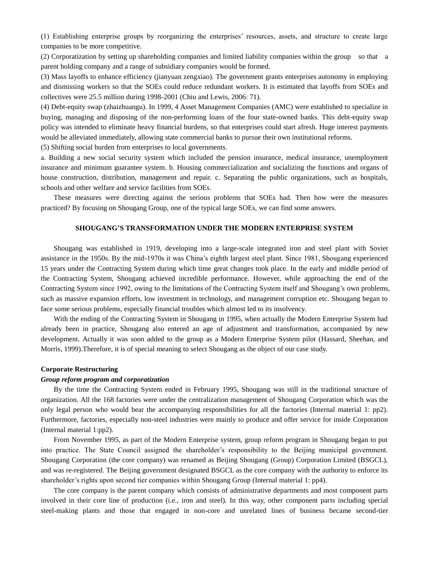(1) Establishing enterprise groups by reorganizing the enterprises' resources, assets, and structure to create large companies to be more competitive.

(2) Corporatization by setting up shareholding companies and limited liability companies within the group so that a parent holding company and a range of subsidiary companies would be formed.

(3) Mass layoffs to enhance efficiency (jianyuan zengxiao). The government grants enterprises autonomy in employing and dismissing workers so that the SOEs could reduce redundant workers. It is estimated that layoffs from SOEs and collectives were 25.5 million during 1998-2001 (Chiu and Lewis, 2006: 71).

(4) Debt-equity swap (zhaizhuangu). In 1999, 4 Asset Management Companies (AMC) were established to specialize in buying, managing and disposing of the non-performing loans of the four state-owned banks. This debt-equity swap policy was intended to eliminate heavy financial burdens, so that enterprises could start afresh. Huge interest payments would be alleviated immediately, allowing state commercial banks to pursue their own institutional reforms.

(5) Shifting social burden from enterprises to local governments.

a. Building a new social security system which included the pension insurance, medical insurance, unemployment insurance and minimum guarantee system. b. Housing commercialization and socializing the functions and organs of house construction, distribution, management and repair. c. Separating the public organizations, such as hospitals, schools and other welfare and service facilities from SOEs.

These measures were directing against the serious problems that SOEs had. Then how were the measures practiced? By focusing on Shougang Group, one of the typical large SOEs, we can find some answers.

# **SHOUGANG'S TRANSFORMATION UNDER THE MODERN ENTERPRISE SYSTEM**

Shougang was established in 1919, developing into a large-scale integrated iron and steel plant with Soviet assistance in the 1950s. By the mid-1970s it was China's eighth largest steel plant. Since 1981, Shougang experienced 15 years under the Contracting System during which time great changes took place. In the early and middle period of the Contracting System, Shougang achieved incredible performance. However, while approaching the end of the Contracting System since 1992, owing to the limitations of the Contracting System itself and Shougang's own problems, such as massive expansion efforts, low investment in technology, and management corruption etc. Shougang began to face some serious problems, especially financial troubles which almost led to its insolvency.

With the ending of the Contracting System in Shougang in 1995, when actually the Modern Enterprise System had already been in practice, Shougang also entered an age of adjustment and transformation, accompanied by new development. Actually it was soon added to the group as a Modern Enterprise System pilot (Hassard, Sheehan, and Morris, 1999).Therefore, it is of special meaning to select Shougang as the object of our case study.

# **Corporate Restructuring**

#### *Group reform program and corporatization*

By the time the Contracting System ended in February 1995, Shougang was still in the traditional structure of organization. All the 168 factories were under the centralization management of Shougang Corporation which was the only legal person who would bear the accompanying responsibilities for all the factories (Internal material 1: pp2). Furthermore, factories, especially non-steel industries were mainly to produce and offer service for inside Corporation (Internal material 1:pp2).

From November 1995, as part of the Modern Enterprise system, group reform program in Shougang began to put into practice. The State Council assigned the shareholder's responsibility to the Beijing municipal government. Shougang Corporation (the core company) was renamed as Beijing Shougang (Group) Corporation Limited (BSGCL), and was re-registered. The Beijing government designated BSGCL as the core company with the authority to enforce its shareholder's rights upon second tier companies within Shougang Group (Internal material 1: pp4).

The core company is the parent company which consists of administrative departments and most component parts involved in their core line of production (i.e., iron and steel). In this way, other component parts including special steel-making plants and those that engaged in non-core and unrelated lines of business became second-tier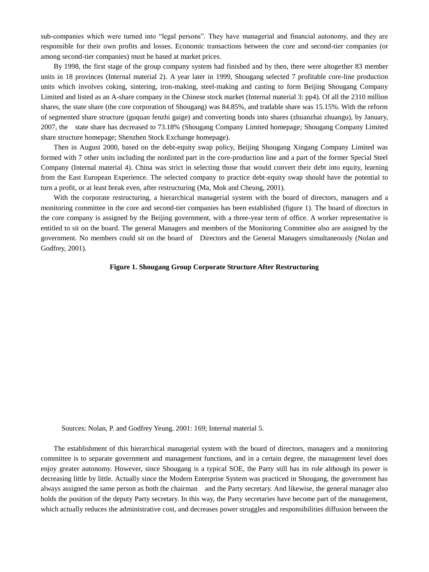sub-companies which were turned into "legal persons". They have managerial and financial autonomy, and they are responsible for their own profits and losses. Economic transactions between the core and second-tier companies (or among second-tier companies) must be based at market prices.

By 1998, the first stage of the group company system had finished and by then, there were altogether 83 member units in 18 provinces (Internal material 2). A year later in 1999, Shougang selected 7 profitable core-line production units which involves coking, sintering, iron-making, steel-making and casting to form Beijing Shougang Company Limited and listed as an A-share company in the Chinese stock market (Internal material 3: pp4). Of all the 2310 million shares, the state share (the core corporation of Shougang) was 84.85%, and tradable share was 15.15%. With the reform of segmented share structure (guquan fenzhi gaige) and converting bonds into shares (zhuanzhai zhuangu), by January, 2007, the state share has decreased to 73.18% (Shougang Company Limited homepage; Shougang Company Limited share structure homepage; Shenzhen Stock Exchange homepage).

Then in August 2000, based on the debt-equity swap policy, Beijing Shougang Xingang Company Limited was formed with 7 other units including the nonlisted part in the core-production line and a part of the former Special Steel Company (Internal material 4). China was strict in selecting those that would convert their debt into equity, learning from the East European Experience. The selected company to practice debt-equity swap should have the potential to turn a profit, or at least break even, after restructuring (Ma, Mok and Cheung, 2001).

With the corporate restructuring, a hierarchical managerial system with the board of directors, managers and a monitoring committee in the core and second-tier companies has been established (figure 1). The board of directors in the core company is assigned by the Beijing government, with a three-year term of office. A worker representative is entitled to sit on the board. The general Managers and members of the Monitoring Committee also are assigned by the government. No members could sit on the board of Directors and the General Managers simultaneously (Nolan and Godfrey, 2001).

# **Figure 1. Shougang Group Corporate Structure After Restructuring**

Sources: Nolan, P. and Godfrey Yeung. 2001: 169; Internal material 5.

The establishment of this hierarchical managerial system with the board of directors, managers and a monitoring committee is to separate government and management functions, and in a certain degree, the management level does enjoy greater autonomy. However, since Shougang is a typical SOE, the Party still has its role although its power is decreasing little by little. Actually since the Modern Enterprise System was practiced in Shougang, the government has always assigned the same person as both the chairman and the Party secretary. And likewise, the general manager also holds the position of the deputy Party secretary. In this way, the Party secretaries have become part of the management, which actually reduces the administrative cost, and decreases power struggles and responsibilities diffusion between the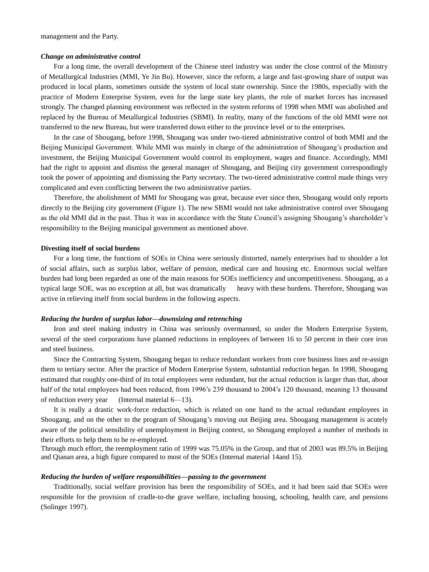#### *Change on administrative control*

For a long time, the overall development of the Chinese steel industry was under the close control of the Ministry of Metallurgical Industries (MMI, Ye Jin Bu). However, since the reform, a large and fast-growing share of output was produced in local plants, sometimes outside the system of local state ownership. Since the 1980s, especially with the practice of Modern Enterprise System, even for the large state key plants, the role of market forces has increased strongly. The changed planning environment was reflected in the system reforms of 1998 when MMI was abolished and replaced by the Bureau of Metallurgical Industries (SBMI). In reality, many of the functions of the old MMI were not transferred to the new Bureau, but were transferred down either to the province level or to the enterprises.

In the case of Shougang, before 1998, Shougang was under two-tiered administrative control of both MMI and the Beijing Municipal Government. While MMI was mainly in charge of the administration of Shougang's production and investment, the Beijing Municipal Government would control its employment, wages and finance. Accordingly, MMI had the right to appoint and dismiss the general manager of Shougang, and Beijing city government correspondingly took the power of appointing and dismissing the Party secretary. The two-tiered administrative control made things very complicated and even conflicting between the two administrative parties.

Therefore, the abolishment of MMI for Shougang was great, because ever since then, Shougang would only reports directly to the Beijing city government (Figure 1). The new SBMI would not take administrative control over Shougang as the old MMI did in the past. Thus it was in accordance with the State Council's assigning Shougang's shareholder's responsibility to the Beijing municipal government as mentioned above.

#### **Divesting itself of social burdens**

For a long time, the functions of SOEs in China were seriously distorted, namely enterprises had to shoulder a lot of social affairs, such as surplus labor, welfare of pension, medical care and housing etc. Enormous social welfare burden had long been regarded as one of the main reasons for SOEs inefficiency and uncompetitiveness. Shougang, as a typical large SOE, was no exception at all, but was dramatically heavy with these burdens. Therefore, Shougang was active in relieving itself from social burdens in the following aspects.

#### *Reducing the burden of surplus labor—downsizing and retrenching*

Iron and steel making industry in China was seriously overmanned, so under the Modern Enterprise System, several of the steel corporations have planned reductions in employees of between 16 to 50 percent in their core iron and steel business.

Since the Contracting System, Shougang began to reduce redundant workers from core business lines and re-assign them to tertiary sector. After the practice of Modern Enterprise System, substantial reduction began. In 1998, Shougang estimated that roughly one-third of its total employees were redundant, but the actual reduction is larger than that, about half of the total employees had been reduced, from 1996's 239 thousand to 2004's 120 thousand, meaning 13 thousand of reduction every year (Internal material 6—13).

It is really a drastic work-force reduction, which is related on one hand to the actual redundant employees in Shougang, and on the other to the program of Shougang's moving out Beijing area. Shougang management is acutely aware of the political sensibility of unemployment in Beijing context, so Shougang employed a number of methods in their efforts to help them to be re-employed.

Through much effort, the reemployment ratio of 1999 was 75.05% in the Group, and that of 2003 was 89.5% in Beijing and Qianan area, a high figure compared to most of the SOEs (Internal material 14and 15).

#### *Reducing the burden of welfare responsibilities—passing to the government*

Traditionally, social welfare provision has been the responsibility of SOEs, and it had been said that SOEs were responsible for the provision of cradle-to-the grave welfare, including housing, schooling, health care, and pensions (Solinger 1997).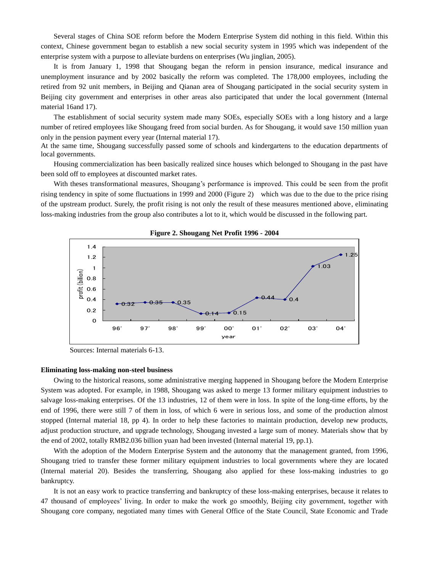Several stages of China SOE reform before the Modern Enterprise System did nothing in this field. Within this context, Chinese government began to establish a new social security system in 1995 which was independent of the enterprise system with a purpose to alleviate burdens on enterprises (Wu jinglian, 2005).

It is from January 1, 1998 that Shougang began the reform in pension insurance, medical insurance and unemployment insurance and by 2002 basically the reform was completed. The 178,000 employees, including the retired from 92 unit members, in Beijing and Qianan area of Shougang participated in the social security system in Beijing city government and enterprises in other areas also participated that under the local government (Internal material 16and 17).

The establishment of social security system made many SOEs, especially SOEs with a long history and a large number of retired employees like Shougang freed from social burden. As for Shougang, it would save 150 million yuan only in the pension payment every year (Internal material 17).

At the same time, Shougang successfully passed some of schools and kindergartens to the education departments of local governments.

Housing commercialization has been basically realized since houses which belonged to Shougang in the past have been sold off to employees at discounted market rates.

With theses transformational measures, Shougang's performance is improved. This could be seen from the profit rising tendency in spite of some fluctuations in 1999 and 2000 (Figure 2) which was due to the due to the price rising of the upstream product. Surely, the profit rising is not only the result of these measures mentioned above, eliminating loss-making industries from the group also contributes a lot to it, which would be discussed in the following part.



#### **Figure 2. Shougang Net Profit 1996 - 2004**

Sources: Internal materials 6-13.

#### **Eliminating loss-making non-steel business**

Owing to the historical reasons, some administrative merging happened in Shougang before the Modern Enterprise System was adopted. For example, in 1988, Shougang was asked to merge 13 former military equipment industries to salvage loss-making enterprises. Of the 13 industries, 12 of them were in loss. In spite of the long-time efforts, by the end of 1996, there were still 7 of them in loss, of which 6 were in serious loss, and some of the production almost stopped (Internal material 18, pp 4). In order to help these factories to maintain production, develop new products, adjust production structure, and upgrade technology, Shougang invested a large sum of money. Materials show that by the end of 2002, totally RMB2.036 billion yuan had been invested (Internal material 19, pp.1).

With the adoption of the Modern Enterprise System and the autonomy that the management granted, from 1996, Shougang tried to transfer these former military equipment industries to local governments where they are located (Internal material 20). Besides the transferring, Shougang also applied for these loss-making industries to go bankruptcy.

It is not an easy work to practice transferring and bankruptcy of these loss-making enterprises, because it relates to 47 thousand of employees' living. In order to make the work go smoothly, Beijing city government, together with Shougang core company, negotiated many times with General Office of the State Council, State Economic and Trade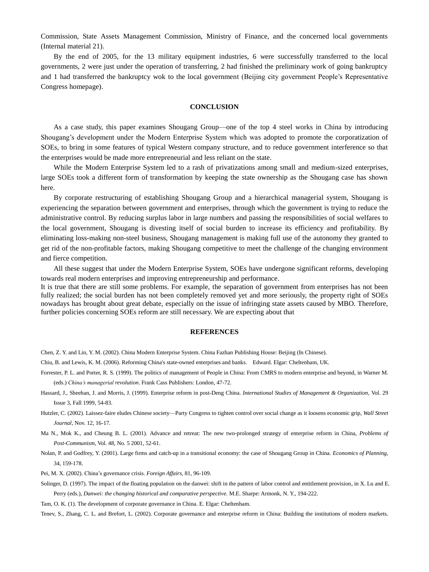Commission, State Assets Management Commission, Ministry of Finance, and the concerned local governments (Internal material 21).

By the end of 2005, for the 13 military equipment industries, 6 were successfully transferred to the local governments, 2 were just under the operation of transferring, 2 had finished the preliminary work of going bankruptcy and 1 had transferred the bankruptcy wok to the local government (Beijing city government People's Representative Congress homepage).

#### **CONCLUSION**

As a case study, this paper examines Shougang Group—one of the top 4 steel works in China by introducing Shougang's development under the Modern Enterprise System which was adopted to promote the corporatization of SOEs, to bring in some features of typical Western company structure, and to reduce government interference so that the enterprises would be made more entrepreneurial and less reliant on the state.

While the Modern Enterprise System led to a rash of privatizations among small and medium-sized enterprises, large SOEs took a different form of transformation by keeping the state ownership as the Shougang case has shown here.

By corporate restructuring of establishing Shougang Group and a hierarchical managerial system, Shougang is experiencing the separation between government and enterprises, through which the government is trying to reduce the administrative control. By reducing surplus labor in large numbers and passing the responsibilities of social welfares to the local government, Shougang is divesting itself of social burden to increase its efficiency and profitability. By eliminating loss-making non-steel business, Shougang management is making full use of the autonomy they granted to get rid of the non-profitable factors, making Shougang competitive to meet the challenge of the changing environment and fierce competition.

All these suggest that under the Modern Enterprise System, SOEs have undergone significant reforms, developing towards real modern enterprises and improving entrepreneurship and performance.

It is true that there are still some problems. For example, the separation of government from enterprises has not been fully realized; the social burden has not been completely removed yet and more seriously, the property right of SOEs nowadays has brought about great debate, especially on the issue of infringing state assets caused by MBO. Therefore, further policies concerning SOEs reform are still necessary. We are expecting about that

### **REFERENCES**

Chen, Z. Y. and Lin, Y. M. (2002). China Modern Enterprise System. China Fazhan Publishing House: Beijing (In Chinese).

- Chiu, B. and Lewis, K. M. (2006). Reforming China's state-owned enterprises and banks. Edward. Elgar: Cheltenham, UK.
- Forrester, P. L. and Porter, R. S. (1999). The politics of management of People in China: From CMRS to modern enterprise and beyond, in Warner M. (eds.) *China's managerial revolution*. Frank Cass Publishers: London, 47-72.
- Hassard, J., Sheehan, J. and Morris, J. (1999). Enterprise reform in post-Deng China. *International Studies of Management & Organization*, Vol. 29 Issue 3, Fall 1999, 54-83.
- Hutzler, C. (2002). Laissez-faire eludes Chinese society—Party Congress to tighten control over social change as it loosens economic grip, *Wall Street Journal,* Nov. 12, 16-17.
- Ma N., Mok K., and Cheung B. L. (2001). Advance and retreat: The new two-prolonged strategy of enterprise reform in China, *Problems of Post-Communism*, Vol. 48, No. 5 2001, 52-61.
- Nolan, P. and Godfrey, Y. (2001). Large firms and catch-up in a transitional economy: the case of Shougang Group in China. *Economics of Planning*, 34, 159-178.
- Pei, M. X. (2002). China's governance crisis. *Foreign Affairs,* 81, 96-109.
- Solinger, D. (1997). The impact of the floating population on the danwei: shift in the pattern of labor control and entitlement provision, in X. Lu and E.

Perry (eds.), *Danwei: the changing historical and comparative perspective.* M.E. Sharpe: Armonk, N. Y., 194-222.

Tam, O. K. (1). The development of corporate governance in China. E. Elgar: Cheltenham.

Tenev, S., Zhang, C. L. and Brefort, L. (2002). Corporate governance and enterprise reform in China: Building the institutions of modern markets.